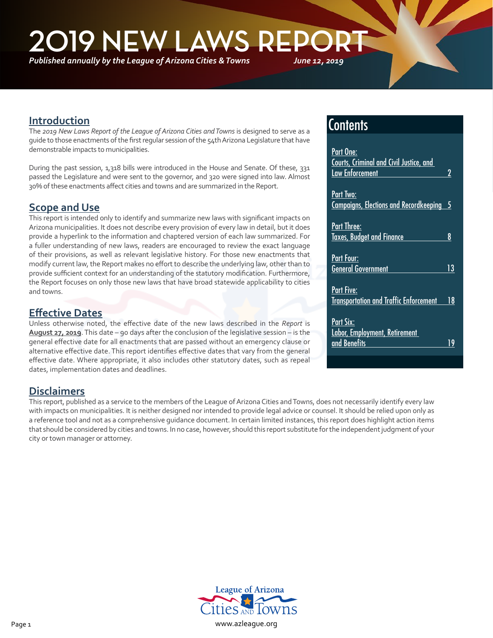*Published annually by the League of Arizona Cities & Towns*



### **Introduction**

٦

The *2019 New Laws Report of the League of Arizona Cities and Towns* is designed to serve as a guide to those enactments of the first regular session of the 54th Arizona Legislature that have demonstrable impacts to municipalities.

During the past session, 1,318 bills were introduced in the House and Senate. Of these, 331 passed the Legislature and were sent to the governor, and 320 were signed into law. Almost 30% of these enactments affect cities and towns and are summarized in the Report.

## **Scope and Use**

This report is intended only to identify and summarize new laws with significant impacts on Arizona municipalities. It does not describe every provision of every law in detail, but it does provide a hyperlink to the information and chaptered version of each law summarized. For a fuller understanding of new laws, readers are encouraged to review the exact language of their provisions, as well as relevant legislative history. For those new enactments that modify current law, the Report makes no effort to describe the underlying law, other than to provide sufficient context for an understanding of the statutory modification. Furthermore, the Report focuses on only those new laws that have broad statewide applicability to cities and towns.

### **Effective Dates**

Unless otherwise noted, the effective date of the new laws described in the *Report* is **August 27, 2019**. This date – 90 days after the conclusion of the legislative session – is the general effective date for all enactments that are passed without an emergency clause or alternative effective date. This report identifies effective dates that vary from the general effective date. Where appropriate, it also includes other statutory dates, such as repeal dates, implementation dates and deadlines.

## **Contents**

| <b>Part One:</b><br><b>Courts, Criminal and Civil Justice, and</b><br><b>Law Enforcement</b> |    |
|----------------------------------------------------------------------------------------------|----|
| Part Two:<br><b>Campaigns, Elections and Recordkeeping</b>                                   |    |
| <b>Part Three:</b><br><b>Taxes, Budget and Finance</b>                                       | 8  |
| <b>Part Four:</b><br><b>General Government</b>                                               | 13 |
| Part Five:<br><b>Transportation and Traffic Enforcement</b>                                  | 18 |
| Part Six:<br>Labor, Employment, Retirement                                                   |    |
| and Benefits                                                                                 | 9  |

## **Disclaimers**

This report, published as a service to the members of the League of Arizona Cities and Towns, does not necessarily identify every law with impacts on municipalities. It is neither designed nor intended to provide legal advice or counsel. It should be relied upon only as a reference tool and not as a comprehensive guidance document. In certain limited instances, this report does highlight action items that should be considered by cities and towns. In no case, however, should this report substitute for the independent judgment of your city or town manager or attorney.

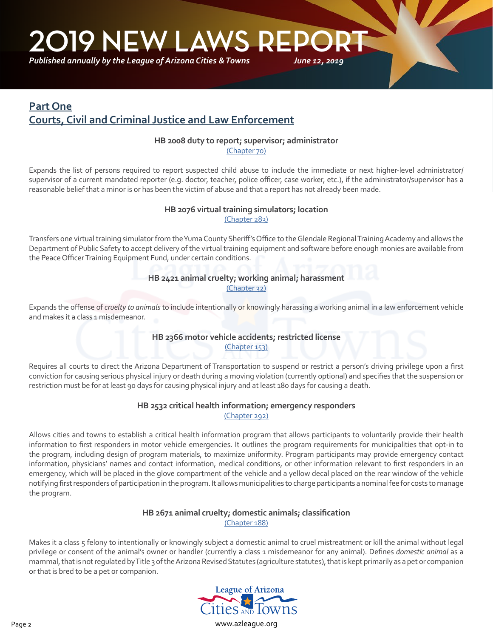<span id="page-1-0"></span>*Published annually by the League of Arizona Cities & Towns*

## **Part One Courts, Civil and Criminal Justice and Law Enforcement**

#### **HB 2008 duty to report; supervisor; administrator**

[\(Chapter 70\)](https://apps.azleg.gov/billStatus/BillOverview/71006)

Expands the list of persons required to report suspected child abuse to include the immediate or next higher-level administrator/ supervisor of a current mandated reporter (e.g. doctor, teacher, police officer, case worker, etc.), if the administrator/supervisor has a reasonable belief that a minor is or has been the victim of abuse and that a report has not already been made.

## **HB 2076 virtual training simulators; location**

[\(Chapter 283\)](https://apps.azleg.gov/BillStatus/BillOverview/71144)

Transfers one virtual training simulator from the Yuma County Sheriff's Office to the Glendale Regional Training Academy and allows the Department of Public Safety to accept delivery of the virtual training equipment and software before enough monies are available from the Peace Officer Training Equipment Fund, under certain conditions.

#### **HB 2421 animal cruelty; working animal; harassment** [\(Chapter 32\)](https://apps.azleg.gov/BillStatus/BillOverview/71552)

Expands the offense of *cruelty to animals* to include intentionally or knowingly harassing a working animal in a law enforcement vehicle and makes it a class 1 misdemeanor.

#### **HB 2366 motor vehicle accidents; restricted license** [\(Chapter 153\)](https://apps.azleg.gov/BillStatus/BillOverview/71466)

Requires all courts to direct the Arizona Department of Transportation to suspend or restrict a person's driving privilege upon a first conviction for causing serious physical injury or death during a moving violation (currently optional) and specifies that the suspension or restriction must be for at least 90 days for causing physical injury and at least 180 days for causing a death.

#### **HB 2532 critical health information; emergency responders**  [\(Chapter 292\)](https://apps.azleg.gov/BillStatus/BillOverview/71753)

Allows cities and towns to establish a critical health information program that allows participants to voluntarily provide their health information to first responders in motor vehicle emergencies. It outlines the program requirements for municipalities that opt-in to the program, including design of program materials, to maximize uniformity. Program participants may provide emergency contact information, physicians' names and contact information, medical conditions, or other information relevant to first responders in an emergency, which will be placed in the glove compartment of the vehicle and a yellow decal placed on the rear window of the vehicle notifying first responders of participation in the program. It allows municipalities to charge participants a nominal fee for costs to manage the program.

#### **HB 2671 animal cruelty; domestic animals; classification** [\(Chapter 188\)](https://apps.azleg.gov/BillStatus/BillOverview/72314)

Makes it a class 5 felony to intentionally or knowingly subject a domestic animal to cruel mistreatment or kill the animal without legal privilege or consent of the animal's owner or handler (currently a class 1 misdemeanor for any animal). Defines *domestic animal* as a mammal, that is not regulated by Title 3 of the Arizona Revised Statutes (agriculture statutes), that is kept primarily as a pet or companion or that is bred to be a pet or companion.

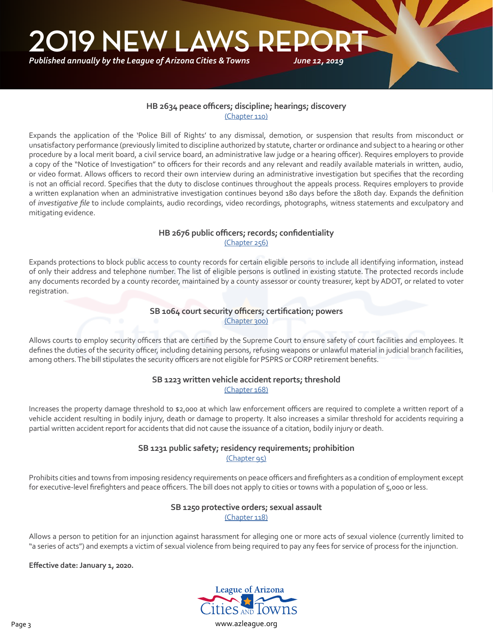*Published annually by the League of Arizona Cities & Towns*

#### **HB 2634 peace officers; discipline; hearings; discovery** [\(Chapter 110\)](https://apps.azleg.gov/BillStatus/BillOverview/72265)

Expands the application of the 'Police Bill of Rights' to any dismissal, demotion, or suspension that results from misconduct or unsatisfactory performance (previously limited to discipline authorized by statute, charter or ordinance and subject to a hearing or other procedure by a local merit board, a civil service board, an administrative law judge or a hearing officer). Requires employers to provide a copy of the "Notice of Investigation" to officers for their records and any relevant and readily available materials in written, audio, or video format. Allows officers to record their own interview during an administrative investigation but specifies that the recording is not an official record. Specifies that the duty to disclose continues throughout the appeals process. Requires employers to provide a written explanation when an administrative investigation continues beyond 180 days before the 180th day. Expands the definition of *investigative file* to include complaints, audio recordings, video recordings, photographs, witness statements and exculpatory and mitigating evidence.

#### **HB 2676 public officers; records; confidentiality** [\(Chapter 256\)](https://apps.azleg.gov/BillStatus/BillOverview/72320)

Expands protections to block public access to county records for certain eligible persons to include all identifying information, instead of only their address and telephone number. The list of eligible persons is outlined in existing statute. The protected records include any documents recorded by a county recorder, maintained by a county assessor or county treasurer, kept by ADOT, or related to voter registration.

#### **SB 1064 court security officers; certification; powers** [\(Chapter 300\)](https://apps.azleg.gov/BillStatus/BillOverview/71153)

Allows courts to employ security officers that are certified by the Supreme Court to ensure safety of court facilities and employees. It defines the duties of the security officer, including detaining persons, refusing weapons or unlawful material in judicial branch facilities, among others. The bill stipulates the security officers are not eligible for PSPRS or CORP retirement benefits.

#### **SB 1223 written vehicle accident reports; threshold** [\(Chapter 168\)](https://apps.azleg.gov/BillStatus/BillOverview/71802)

Increases the property damage threshold to \$2,000 at which law enforcement officers are required to complete a written report of a vehicle accident resulting in bodily injury, death or damage to property. It also increases a similar threshold for accidents requiring a partial written accident report for accidents that did not cause the issuance of a citation, bodily injury or death.

#### **SB 1231 public safety; residency requirements; prohibition** [\(Chapter 95\)](https://apps.azleg.gov/BillStatus/BillOverview/71826)

Prohibits cities and towns from imposing residency requirements on peace officers and firefighters as a condition of employment except for executive-level firefighters and peace officers. The bill does not apply to cities or towns with a population of 5,000 or less.

## **SB 1250 protective orders; sexual assault**

[\(Chapter 118\)](https://apps.azleg.gov/BillStatus/BillOverview/71854)

Allows a person to petition for an injunction against harassment for alleging one or more acts of sexual violence (currently limited to "a series of acts") and exempts a victim of sexual violence from being required to pay any fees for service of process for the injunction.

#### **Effective date: January 1, 2020.**

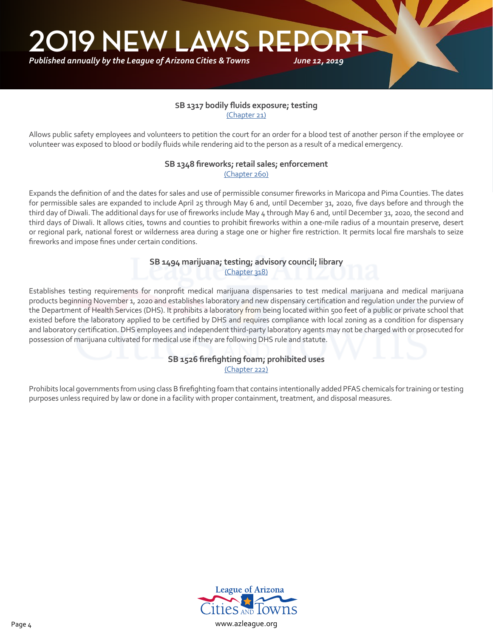#### **SB 1317 bodily fluids exposure; testing** [\(Chapter 21\)](https://apps.azleg.gov/BillStatus/BillOverview/71941)

*June 12, 2019*

Allows public safety employees and volunteers to petition the court for an order for a blood test of another person if the employee or volunteer was exposed to blood or bodily fluids while rendering aid to the person as a result of a medical emergency.

#### **SB 1348 fireworks; retail sales; enforcement** [\(Chapter 260\)](https://apps.azleg.gov/BillStatus/BillOverview/71983)

Expands the definition of and the dates for sales and use of permissible consumer fireworks in Maricopa and Pima Counties. The dates for permissible sales are expanded to include April 25 through May 6 and, until December 31, 2020, five days before and through the third day of Diwali. The additional days for use of fireworks include May 4 through May 6 and, until December 31, 2020, the second and third days of Diwali. It allows cities, towns and counties to prohibit fireworks within a one-mile radius of a mountain preserve, desert or regional park, national forest or wilderness area during a stage one or higher fire restriction. It permits local fire marshals to seize fireworks and impose fines under certain conditions.

## **SB 1494 marijuana; testing; advisory council; library**

[\(Chapter 318\)](https://apps.azleg.gov/BillStatus/BillOverview/72146)

Establishes testing requirements for nonprofit medical marijuana dispensaries to test medical marijuana and medical marijuana products beginning November 1, 2020 and establishes laboratory and new dispensary certification and regulation under the purview of the Department of Health Services (DHS). It prohibits a laboratory from being located within 500 feet of a public or private school that existed before the laboratory applied to be certified by DHS and requires compliance with local zoning as a condition for dispensary and laboratory certification. DHS employees and independent third-party laboratory agents may not be charged with or prosecuted for possession of marijuana cultivated for medical use if they are following DHS rule and statute.

#### **SB 1526 firefighting foam; prohibited uses** [\(Chapter 222\)](https://apps.azleg.gov/BillStatus/BillOverview/72198)

Prohibits local governments from using class B firefighting foam that contains intentionally added PFAS chemicals for training or testing purposes unless required by law or done in a facility with proper containment, treatment, and disposal measures.

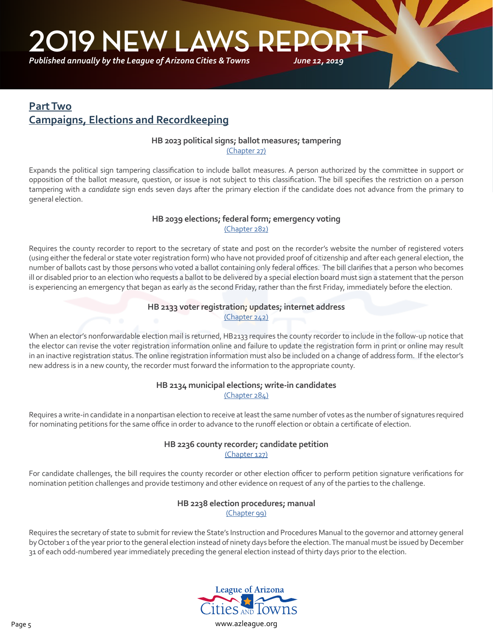<span id="page-4-0"></span>*Published annually by the League of Arizona Cities & Towns*

## **Part Two Campaigns, Elections and Recordkeeping**

#### **HB 2023 political signs; ballot measures; tampering**

[\(Chapter 27\)](https://apps.azleg.gov/billStatus/BillOverview/71034)

Expands the political sign tampering classification to include ballot measures. A person authorized by the committee in support or opposition of the ballot measure, question, or issue is not subject to this classification. The bill specifies the restriction on a person tampering with a *candidate* sign ends seven days after the primary election if the candidate does not advance from the primary to general election.

## **HB 2039 elections; federal form; emergency voting**

[\(Chapter 282\)](https://apps.azleg.gov/billStatus/BillOverview/71061)

Requires the county recorder to report to the secretary of state and post on the recorder's website the number of registered voters (using either the federal or state voter registration form) who have not provided proof of citizenship and after each general election, the number of ballots cast by those persons who voted a ballot containing only federal offices. The bill clarifies that a person who becomes ill or disabled prior to an election who requests a ballot to be delivered by a special election board must sign a statement that the person is experiencing an emergency that began as early as the second Friday, rather than the first Friday, immediately before the election.

#### **HB 2133 voter registration; updates; internet address**

[\(Chapter 242\)](https://apps.azleg.gov/BillStatus/BillOverview/71214)

When an elector's nonforwardable election mail is returned, HB2133 requires the county recorder to include in the follow-up notice that the elector can revise the voter registration information online and failure to update the registration form in print or online may result in an inactive registration status. The online registration information must also be included on a change of address form. If the elector's new address is in a new county, the recorder must forward the information to the appropriate county.

#### **HB 2134 municipal elections; write-in candidates** [\(Chapter 284\)](https://apps.azleg.gov/BillStatus/BillOverview/71216)

Requires a write-in candidate in a nonpartisan election to receive at least the same number of votes as the number of signatures required for nominating petitions for the same office in order to advance to the runoff election or obtain a certificate of election.

#### **HB 2236 county recorder; candidate petition** [\(Chapter 127\)](https://apps.azleg.gov/BillStatus/BillOverview/71320)

For candidate challenges, the bill requires the county recorder or other election officer to perform petition signature verifications for nomination petition challenges and provide testimony and other evidence on request of any of the parties to the challenge.

#### **HB 2238 election procedures; manual**

[\(Chapter 99\)](https://apps.azleg.gov/BillStatus/BillOverview/71323)

Requires the secretary of state to submit for review the State's Instruction and Procedures Manual to the governor and attorney general by October 1 of the year prior to the general election instead of ninety days before the election. The manual must be issued by December 31 of each odd-numbered year immediately preceding the general election instead of thirty days prior to the election.

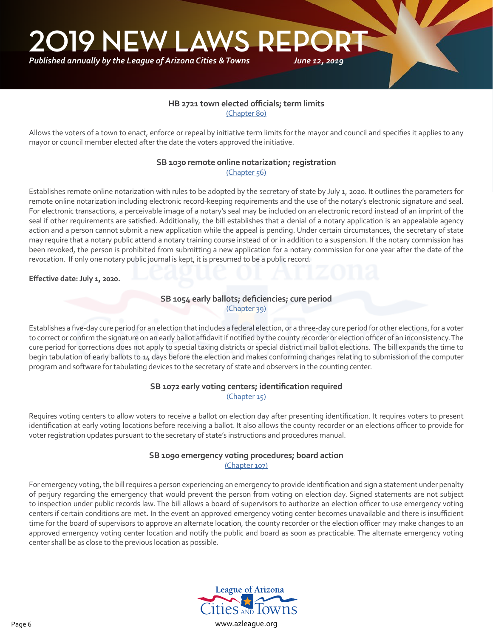## **HB 2721 town elected officials; term limits**

[\(Chapter 80\)](https://apps.azleg.gov/BillStatus/BillOverview/72365)

Allows the voters of a town to enact, enforce or repeal by initiative term limits for the mayor and council and specifies it applies to any mayor or council member elected after the date the voters approved the initiative.

#### **SB 1030 remote online notarization; registration** [\(Chapter 56\)](https://apps.azleg.gov/BillStatus/BillOverview/71078)

Establishes remote online notarization with rules to be adopted by the secretary of state by July 1, 2020. It outlines the parameters for remote online notarization including electronic record-keeping requirements and the use of the notary's electronic signature and seal. For electronic transactions, a perceivable image of a notary's seal may be included on an electronic record instead of an imprint of the seal if other requirements are satisfied. Additionally, the bill establishes that a denial of a notary application is an appealable agency action and a person cannot submit a new application while the appeal is pending. Under certain circumstances, the secretary of state may require that a notary public attend a notary training course instead of or in addition to a suspension. If the notary commission has been revoked, the person is prohibited from submitting a new application for a notary commission for one year after the date of the revocation. If only one notary public journal is kept, it is presumed to be a public record.

#### **Effective date: July 1, 2020.**

٦

#### **SB 1054 early ballots; deficiencies; cure period** [\(Chapter 39\)](https://apps.azleg.gov/BillStatus/BillOverview/71131)

Establishes a five-day cure period for an election that includes a federal election, or a three-day cure period for other elections, for a voter to correct or confirm the signature on an early ballot affidavit if notified by the county recorder or election officer of an inconsistency. The cure period for corrections does not apply to special taxing districts or special district mail ballot elections. The bill expands the time to begin tabulation of early ballots to 14 days before the election and makes conforming changes relating to submission of the computer program and software for tabulating devices to the secretary of state and observers in the counting center.

#### **SB 1072 early voting centers; identification required** [\(Chapter 15\)](https://apps.azleg.gov/BillStatus/BillOverview/71189)

Requires voting centers to allow voters to receive a ballot on election day after presenting identification. It requires voters to present identification at early voting locations before receiving a ballot. It also allows the county recorder or an elections officer to provide for voter registration updates pursuant to the secretary of state's instructions and procedures manual.

#### **SB 1090 emergency voting procedures; board action** [\(Chapter 107\)](https://apps.azleg.gov/BillStatus/BillOverview/71292)

For emergency voting, the bill requires a person experiencing an emergency to provide identification and sign a statement under penalty of perjury regarding the emergency that would prevent the person from voting on election day. Signed statements are not subject to inspection under public records law. The bill allows a board of supervisors to authorize an election officer to use emergency voting centers if certain conditions are met. In the event an approved emergency voting center becomes unavailable and there is insufficient time for the board of supervisors to approve an alternate location, the county recorder or the election officer may make changes to an approved emergency voting center location and notify the public and board as soon as practicable. The alternate emergency voting center shall be as close to the previous location as possible.

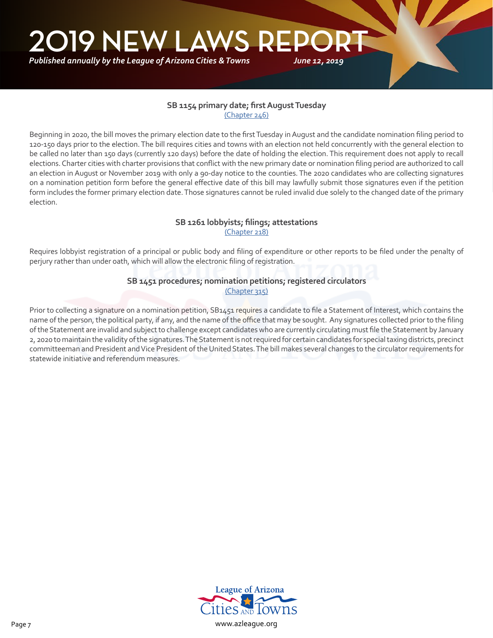#### **SB 1154 primary date; first August Tuesday** [\(Chapter 246\)](https://apps.azleg.gov/BillStatus/BillOverview/71705)

Beginning in 2020, the bill moves the primary election date to the first Tuesday in August and the candidate nomination filing period to 120-150 days prior to the election. The bill requires cities and towns with an election not held concurrently with the general election to be called no later than 150 days (currently 120 days) before the date of holding the election. This requirement does not apply to recall elections. Charter cities with charter provisions that conflict with the new primary date or nomination filing period are authorized to call an election in August or November 2019 with only a 90-day notice to the counties. The 2020 candidates who are collecting signatures on a nomination petition form before the general effective date of this bill may lawfully submit those signatures even if the petition form includes the former primary election date. Those signatures cannot be ruled invalid due solely to the changed date of the primary election.

#### **SB 1261 lobbyists; filings; attestations** [\(Chapter 218\)](https://apps.azleg.gov/BillStatus/BillOverview/71872)

Requires lobbyist registration of a principal or public body and filing of expenditure or other reports to be filed under the penalty of perjury rather than under oath, which will allow the electronic filing of registration.

#### **SB 1451 procedures; nomination petitions; registered circulators** [\(Chapter 315\)](https://apps.azleg.gov/BillStatus/BillOverview/72111)

Prior to collecting a signature on a nomination petition, SB1451 requires a candidate to file a Statement of Interest, which contains the name of the person, the political party, if any, and the name of the office that may be sought. Any signatures collected prior to the filing of the Statement are invalid and subject to challenge except candidates who are currently circulating must file the Statement by January 2, 2020 to maintain the validity of the signatures. The Statement is not required for certain candidates for special taxing districts, precinct committeeman and President and Vice President of the United States. The bill makes several changes to the circulator requirements for statewide initiative and referendum measures.

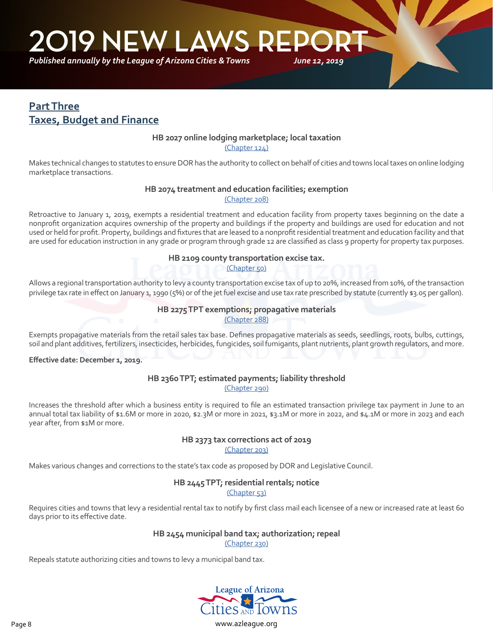<span id="page-7-0"></span>**2019 NEW LAWS REP** 

*Published annually by the League of Arizona Cities & Towns*

## **Part Three Taxes, Budget and Finance**

٦

#### **HB 2027 online lodging marketplace; local taxation**

*June 12, 2019*

[\(Chapter 124\)](https://apps.azleg.gov/billStatus/BillOverview/71039)

Makes technical changes to statutes to ensure DOR has the authority to collect on behalf of cities and towns local taxes on online lodging marketplace transactions.

## **HB 2074 treatment and education facilities; exemption**

[\(Chapter 208\)](https://apps.azleg.gov/BillStatus/BillOverview/71137)

Retroactive to January 1, 2019, exempts a residential treatment and education facility from property taxes beginning on the date a nonprofit organization acquires ownership of the property and buildings if the property and buildings are used for education and not used or held for profit. Property, buildings and fixtures that are leased to a nonprofit residential treatment and education facility and that are used for education instruction in any grade or program through grade 12 are classified as class 9 property for property tax purposes.

#### **HB 2109 county transportation excise tax.**

[\(Chapter 50\)](https://apps.azleg.gov/BillStatus/BillOverview/71190)

Allows a regional transportation authority to levy a county transportation excise tax of up to 20%, increased from 10%, of the transaction privilege tax rate in effect on January 1, 1990 (5%) or of the jet fuel excise and use tax rate prescribed by statute (currently \$3.05 per gallon).

#### **HB 2275 TPT exemptions; propagative materials**

[\(Chapter 288\)](https://apps.azleg.gov/BillStatus/BillOverview/71386)

Exempts propagative materials from the retail sales tax base. Defines propagative materials as seeds, seedlings, roots, bulbs, cuttings, soil and plant additives, fertilizers, insecticides, herbicides, fungicides, soil fumigants, plant nutrients, plant growth regulators, and more.

**Effective date: December 1, 2019.**

#### **HB 2360 TPT; estimated payments; liability threshold** [\(Chapter 290\)](https://apps.azleg.gov/BillStatus/BillOverview/71457)

Increases the threshold after which a business entity is required to file an estimated transaction privilege tax payment in June to an annual total tax liability of \$1.6M or more in 2020, \$2.3M or more in 2021, \$3.1M or more in 2022, and \$4.1M or more in 2023 and each year after, from \$1M or more.

#### **HB 2373 tax corrections act of 2019** [\(Chapter 203\)](https://apps.azleg.gov/BillStatus/BillOverview/71480)

Makes various changes and corrections to the state's tax code as proposed by DOR and Legislative Council.

#### **HB 2445 TPT; residential rentals; notice**

[\(Chapter 53\)](https://apps.azleg.gov/BillStatus/BillOverview/71582)

Requires cities and towns that levy a residential rental tax to notify by first class mail each licensee of a new or increased rate at least 60 days prior to its effective date.

#### **HB 2454 municipal band tax; authorization; repeal**

[\(Chapter 230\)](https://apps.azleg.gov/BillStatus/BillOverview/71599)

Repeals statute authorizing cities and towns to levy a municipal band tax.

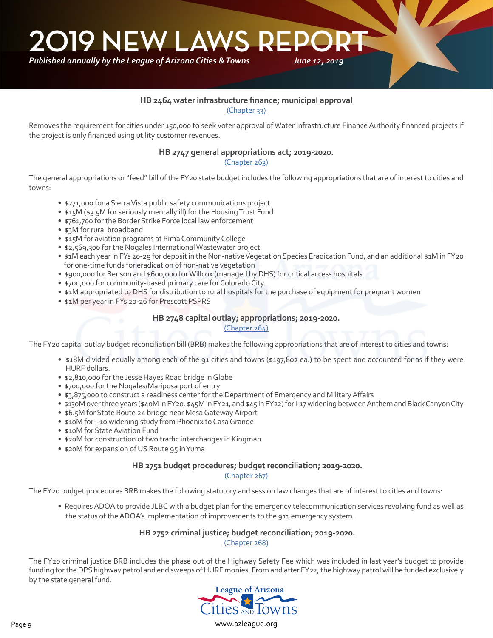*Published annually by the League of Arizona Cities & Towns*

#### **HB 2464 water infrastructure finance; municipal approval**

*June 12, 2019*

[\(Chapter 33\)](https://apps.azleg.gov/BillStatus/BillOverview/71598)

Removes the requirement for cities under 150,000 to seek voter approval of Water Infrastructure Finance Authority financed projects if the project is only financed using utility customer revenues.

#### **HB 2747 general appropriations act; 2019-2020.**

[\(Chapter 263\)](https://apps.azleg.gov/BillStatus/BillOverview/72417)

The general appropriations or "feed" bill of the FY20 state budget includes the following appropriations that are of interest to cities and towns:

- \$271,000 for a Sierra Vista public safety communications project
- \$15M (\$3.5M for seriously mentally ill) for the Housing Trust Fund
- \$761,700 for the Border Strike Force local law enforcement
- \$3M for rural broadband
- \$15M for aviation programs at Pima Community College
- \$2,569,300 for the Nogales International Wastewater project
- \$1M each year in FYs 20-29 for deposit in the Non-native Vegetation Species Eradication Fund, and an additional \$1M in FY20 for one-time funds for eradication of non-native vegetation
- \$900,000 for Benson and \$600,000 for Willcox (managed by DHS) for critical access hospitals
- \$700,000 for community-based primary care for Colorado City
- \$1M appropriated to DHS for distribution to rural hospitals for the purchase of equipment for pregnant women
- \$1M per year in FYs 20-26 for Prescott PSPRS

#### **HB 2748 capital outlay; appropriations; 2019-2020.**

#### [\(Chapter 264\)](https://apps.azleg.gov/BillStatus/BillOverview/72418)

The FY20 capital outlay budget reconciliation bill (BRB) makes the following appropriations that are of interest to cities and towns:

- \$18M divided equally among each of the 91 cities and towns (\$197,802 ea.) to be spent and accounted for as if they were HURF dollars.
- \$2,810,000 for the Jesse Hayes Road bridge in Globe
- \$700,000 for the Nogales/Mariposa port of entry
- \$3,875,000 to construct a readiness center for the Department of Emergency and Military Affairs
- \$130M over three years (\$40M in FY20, \$45M in FY21, and \$45 in FY22) for I-17 widening between Anthem and Black Canyon City
- \$6.5M for State Route 24 bridge near Mesa Gateway Airport
- \$10M for I-10 widening study from Phoenix to Casa Grande
- \$10M for State Aviation Fund
- \$20M for construction of two traffic interchanges in Kingman
- \$20M for expansion of US Route 95 in Yuma

#### **HB 2751 budget procedures; budget reconciliation; 2019-2020.**

#### [\(Chapter 267\)](https://apps.azleg.gov/BillStatus/BillOverview/72421)

The FY20 budget procedures BRB makes the following statutory and session law changes that are of interest to cities and towns:

• Requires ADOA to provide JLBC with a budget plan for the emergency telecommunication services revolving fund as well as the status of the ADOA's implementation of improvements to the 911 emergency system.

#### **HB 2752 criminal justice; budget reconciliation; 2019-2020.**

[\(Chapter 268\)](https://apps.azleg.gov/BillStatus/BillOverview/72422)

The FY20 criminal justice BRB includes the phase out of the Highway Safety Fee which was included in last year's budget to provide funding for the DPS highway patrol and end sweeps of HURF monies. From and after FY22, the highway patrol will be funded exclusively by the state general fund.

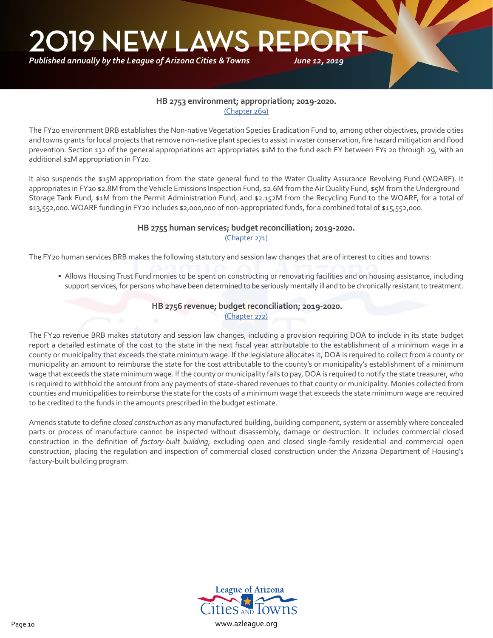*Published annually by the League of Arizona Cities & Towns*

#### **HB 2753 environment; appropriation; 2019-2020.** [\(Chapter 269\)](https://apps.azleg.gov/BillStatus/BillOverview/72423)

*June 12, 2019*

The FY20 environment BRB establishes the Non-native Vegetation Species Eradication Fund to, among other objectives, provide cities and towns grants for local projects that remove non-native plant species to assist in water conservation, fire hazard mitigation and flood prevention. Section 132 of the general appropriations act appropriates \$1M to the fund each FY between FYs 20 through 29, with an additional \$1M appropriation in FY20.

It also suspends the \$15M appropriation from the state general fund to the Water Quality Assurance Revolving Fund (WQARF). It appropriates in FY20 \$2.8M from the Vehicle Emissions Inspection Fund, \$2.6M from the Air Quality Fund, \$5M from the Underground Storage Tank Fund, \$1M from the Permit Administration Fund, and \$2.152M from the Recycling Fund to the WQARF, for a total of \$13,552,000. WQARF funding in FY20 includes \$2,000,000 of non-appropriated funds, for a combined total of \$15,552,000.

#### **HB 2755 human services; budget reconciliation; 2019-2020.**

[\(Chapter 271\)](https://apps.azleg.gov/BillStatus/BillOverview/72425)

The FY20 human services BRB makes the following statutory and session law changes that are of interest to cities and towns:

• Allows Housing Trust Fund monies to be spent on constructing or renovating facilities and on housing assistance, including support services, for persons who have been determined to be seriously mentally ill and to be chronically resistant to treatment.

#### **HB 2756 revenue; budget reconciliation; 2019-2020.**

[\(Chapter 272\)](https://apps.azleg.gov/BillStatus/BillOverview/72426)

The FY20 revenue BRB makes statutory and session law changes, including a provision requiring DOA to include in its state budget report a detailed estimate of the cost to the state in the next fiscal year attributable to the establishment of a minimum wage in a county or municipality that exceeds the state minimum wage. If the legislature allocates it, DOA is required to collect from a county or municipality an amount to reimburse the state for the cost attributable to the county's or municipality's establishment of a minimum wage that exceeds the state minimum wage. If the county or municipality fails to pay, DOA is required to notify the state treasurer, who is required to withhold the amount from any payments of state-shared revenues to that county or municipality. Monies collected from counties and municipalities to reimburse the state for the costs of a minimum wage that exceeds the state minimum wage are required to be credited to the funds in the amounts prescribed in the budget estimate.

Amends statute to define *closed construction* as any manufactured building, building component, system or assembly where concealed parts or process of manufacture cannot be inspected without disassembly, damage or destruction. It includes commercial closed construction in the definition of *factory-built building*, excluding open and closed single-family residential and commercial open construction, placing the regulation and inspection of commercial closed construction under the Arizona Department of Housing's factory-built building program.

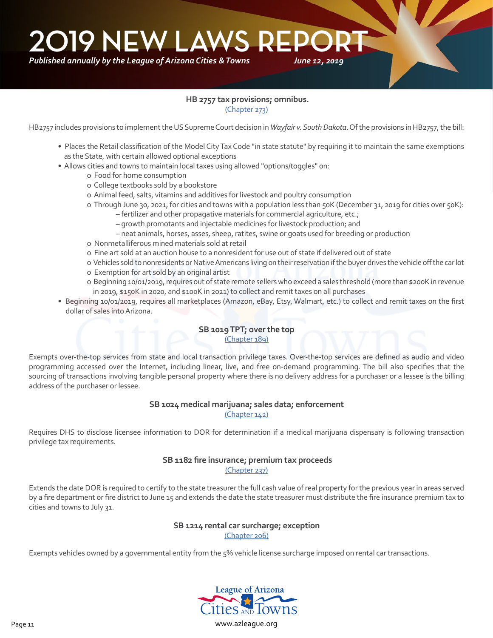#### **HB 2757 tax provisions; omnibus.** [\(Chapter 273\)](https://apps.azleg.gov/BillStatus/BillOverview/72436)

HB2757 includes provisions to implement the US Supreme Court decision in *Wayfair v. South Dakota*. Of the provisions in HB2757, the bill:

- Places the Retail classification of the Model City Tax Code "in state statute" by requiring it to maintain the same exemptions as the State, with certain allowed optional exceptions
- Allows cities and towns to maintain local taxes using allowed "options/toggles" on:
	- o Food for home consumption
	- o College textbooks sold by a bookstore
	- o Animal feed, salts, vitamins and additives for livestock and poultry consumption
	- o Through June 30, 2021, for cities and towns with a population less than 50K (December 31, 2019 for cities over 50K):
		- fertilizer and other propagative materials for commercial agriculture, etc.;
		- growth promotants and injectable medicines for livestock production; and
		- neat animals, horses, asses, sheep, ratites, swine or goats used for breeding or production
	- o Nonmetalliferous mined materials sold at retail
	- o Fine art sold at an auction house to a nonresident for use out of state if delivered out of state
	- o Vehicles sold to nonresidents or Native Americans living on their reservation if the buyer drives the vehicle off the car lot
	- o Exemption for art sold by an original artist
	- o Beginning 10/01/2019, requires out of state remote sellers who exceed a sales threshold (more than \$200K in revenue in 2019, \$150K in 2020, and \$100K in 2021) to collect and remit taxes on all purchases
- Beginning 10/01/2019, requires all marketplaces (Amazon, eBay, Etsy, Walmart, etc.) to collect and remit taxes on the first dollar of sales into Arizona.

#### **SB 1019 TPT; over the top** [\(Chapter 189\)](https://apps.azleg.gov/billStatus/BillOverview/71053)

Exempts over-the-top services from state and local transaction privilege taxes. Over-the-top services are defined as audio and video programming accessed over the Internet, including linear, live, and free on-demand programming. The bill also specifies that the sourcing of transactions involving tangible personal property where there is no delivery address for a purchaser or a lessee is the billing address of the purchaser or lessee.

### **SB 1024 medical marijuana; sales data; enforcement**

[\(Chapter 142\)](https://apps.azleg.gov/billStatus/BillOverview/71064)

Requires DHS to disclose licensee information to DOR for determination if a medical marijuana dispensary is following transaction privilege tax requirements.

#### **SB 1182 fire insurance; premium tax proceeds**

[\(Chapter 237\)](https://apps.azleg.gov/BillStatus/BillOverview/71742)

Extends the date DOR is required to certify to the state treasurer the full cash value of real property for the previous year in areas served by a fire department or fire district to June 15 and extends the date the state treasurer must distribute the fire insurance premium tax to cities and towns to July 31.

#### **SB 1214 rental car surcharge; exception**

[\(Chapter 206\)](https://apps.azleg.gov/BillStatus/BillOverview/71792)

Exempts vehicles owned by a governmental entity from the 5% vehicle license surcharge imposed on rental car transactions.

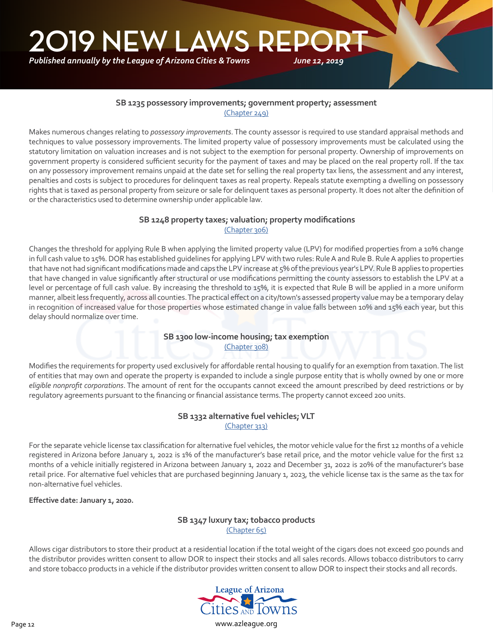*Published annually by the League of Arizona Cities & Towns*

#### **SB 1235 possessory improvements; government property; assessment** [\(Chapter 249\)](https://apps.azleg.gov/BillStatus/BillOverview/71831)

Makes numerous changes relating to *possessory improvements*. The county assessor is required to use standard appraisal methods and techniques to value possessory improvements. The limited property value of possessory improvements must be calculated using the statutory limitation on valuation increases and is not subject to the exemption for personal property. Ownership of improvements on government property is considered sufficient security for the payment of taxes and may be placed on the real property roll. If the tax on any possessory improvement remains unpaid at the date set for selling the real property tax liens, the assessment and any interest, penalties and costs is subject to procedures for delinquent taxes as real property. Repeals statute exempting a dwelling on possessory rights that is taxed as personal property from seizure or sale for delinquent taxes as personal property. It does not alter the definition of or the characteristics used to determine ownership under applicable law.

#### **SB 1248 property taxes; valuation; property modifications** [\(Chapter 306\)](https://apps.azleg.gov/BillStatus/BillOverview/71851)

Changes the threshold for applying Rule B when applying the limited property value (LPV) for modified properties from a 10% change in full cash value to 15%. DOR has established guidelines for applying LPV with two rules: Rule A and Rule B. Rule A applies to properties that have not had significant modifications made and caps the LPV increase at 5% of the previous year's LPV. Rule B applies to properties that have changed in value significantly after structural or use modifications permitting the county assessors to establish the LPV at a level or percentage of full cash value. By increasing the threshold to 15%, it is expected that Rule B will be applied in a more uniform manner, albeit less frequently, across all counties. The practical effect on a city/town's assessed property value may be a temporary delay in recognition of increased value for those properties whose estimated change in value falls between 10% and 15% each year, but this delay should normalize over time.

#### **SB 1300 low-income housing; tax exemption** [\(Chapter 308\)](https://apps.azleg.gov/BillStatus/BillOverview/71918)

Modifies the requirements for property used exclusively for affordable rental housing to qualify for an exemption from taxation. The list of entities that may own and operate the property is expanded to include a single purpose entity that is wholly owned by one or more *eligible nonprofit corporations*. The amount of rent for the occupants cannot exceed the amount prescribed by deed restrictions or by regulatory agreements pursuant to the financing or financial assistance terms. The property cannot exceed 200 units.

#### **SB 1332 alternative fuel vehicles; VLT** [\(Chapter 313\)](https://apps.azleg.gov/BillStatus/BillOverview/71958)

For the separate vehicle license tax classification for alternative fuel vehicles, the motor vehicle value for the first 12 months of a vehicle registered in Arizona before January 1, 2022 is 1% of the manufacturer's base retail price, and the motor vehicle value for the first 12 months of a vehicle initially registered in Arizona between January 1, 2022 and December 31, 2022 is 20% of the manufacturer's base retail price. For alternative fuel vehicles that are purchased beginning January 1, 2023, the vehicle license tax is the same as the tax for non-alternative fuel vehicles.

**Effective date: January 1, 2020.**

#### **SB 1347 luxury tax; tobacco products** [\(Chapter 65\)](https://apps.azleg.gov/BillStatus/BillOverview/71982)

Allows cigar distributors to store their product at a residential location if the total weight of the cigars does not exceed 500 pounds and the distributor provides written consent to allow DOR to inspect their stocks and all sales records. Allows tobacco distributors to carry and store tobacco products in a vehicle if the distributor provides written consent to allow DOR to inspect their stocks and all records.



Page 12 www.azleague.org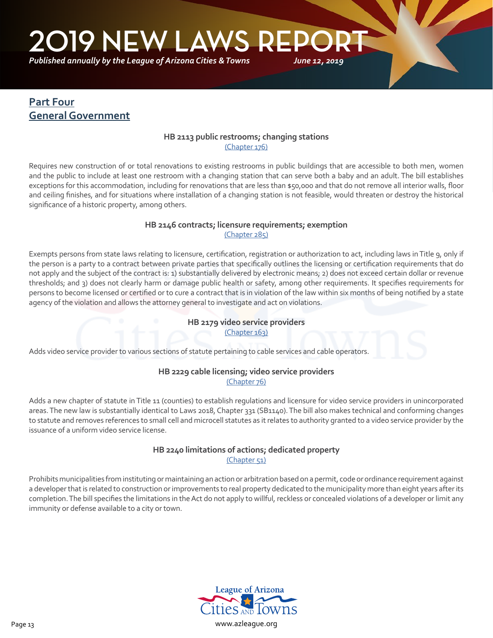<span id="page-12-0"></span>**219 NEW LAWS REP** 

*Published annually by the League of Arizona Cities & Towns*

## **Part Four General Government**

٦

#### **HB 2113 public restrooms; changing stations** [\(Chapter 176\)](https://apps.azleg.gov/BillStatus/BillOverview/71195)

*June 12, 2019*

Requires new construction of or total renovations to existing restrooms in public buildings that are accessible to both men, women and the public to include at least one restroom with a changing station that can serve both a baby and an adult. The bill establishes exceptions for this accommodation, including for renovations that are less than \$50,000 and that do not remove all interior walls, floor and ceiling finishes, and for situations where installation of a changing station is not feasible, would threaten or destroy the historical significance of a historic property, among others.

#### **HB 2146 contracts; licensure requirements; exemption**  [\(Chapter 285\)](https://apps.azleg.gov/BillStatus/BillOverview/71238)

Exempts persons from state laws relating to licensure, certification, registration or authorization to act, including laws in Title 9, only if the person is a party to a contract between private parties that specifically outlines the licensing or certification requirements that do not apply and the subject of the contract is: 1) substantially delivered by electronic means; 2) does not exceed certain dollar or revenue thresholds; and 3) does not clearly harm or damage public health or safety, among other requirements. It specifies requirements for persons to become licensed or certified or to cure a contract that is in violation of the law within six months of being notified by a state agency of the violation and allows the attorney general to investigate and act on violations.

#### **HB 2179 video service providers** [\(Chapter 163\)](https://apps.azleg.gov/BillStatus/BillOverview/71279)

Adds video service provider to various sections of statute pertaining to cable services and cable operators.

#### **HB 2229 cable licensing; video service providers** [\(Chapter 76\)](https://apps.azleg.gov/BillStatus/BillOverview/71333)

Adds a new chapter of statute in Title 11 (counties) to establish regulations and licensure for video service providers in unincorporated areas. The new law is substantially identical to Laws 2018, Chapter 331 (SB1140). The bill also makes technical and conforming changes to statute and removes references to small cell and microcell statutes as it relates to authority granted to a video service provider by the issuance of a uniform video service license.

#### **HB 2240 limitations of actions; dedicated property** [\(Chapter 51\)](https://apps.azleg.gov/BillStatus/BillOverview/71343)

Prohibits municipalities from instituting or maintaining an action or arbitration based on a permit, code or ordinance requirement against a developer that is related to construction or improvements to real property dedicated to the municipality more than eight years after its completion. The bill specifies the limitations in the Act do not apply to willful, reckless or concealed violations of a developer or limit any immunity or defense available to a city or town.

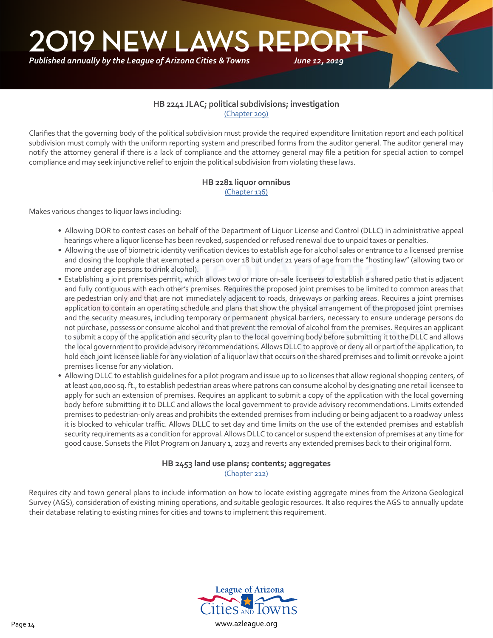#### **HB 2241 JLAC; political subdivisions; investigation** [\(Chapter 209\)](https://apps.azleg.gov/BillStatus/BillOverview/71344)

*June 12, 2019*

Clarifies that the governing body of the political subdivision must provide the required expenditure limitation report and each political subdivision must comply with the uniform reporting system and prescribed forms from the auditor general. The auditor general may notify the attorney general if there is a lack of compliance and the attorney general may file a petition for special action to compel compliance and may seek injunctive relief to enjoin the political subdivision from violating these laws.

## **HB 2281 liquor omnibus**

[\(Chapter 136\)](https://apps.azleg.gov/BillStatus/BillOverview/71393)

Makes various changes to liquor laws including:

- Allowing DOR to contest cases on behalf of the Department of Liquor License and Control (DLLC) in administrative appeal hearings where a liquor license has been revoked, suspended or refused renewal due to unpaid taxes or penalties.
- Allowing the use of biometric identity verification devices to establish age for alcohol sales or entrance to a licensed premise and closing the loophole that exempted a person over 18 but under 21 years of age from the "hosting law" (allowing two or more under age persons to drink alcohol).
- Establishing a joint premises permit, which allows two or more on-sale licensees to establish a shared patio that is adjacent and fully contiguous with each other's premises. Requires the proposed joint premises to be limited to common areas that are pedestrian only and that are not immediately adjacent to roads, driveways or parking areas. Requires a joint premises application to contain an operating schedule and plans that show the physical arrangement of the proposed joint premises and the security measures, including temporary or permanent physical barriers, necessary to ensure underage persons do not purchase, possess or consume alcohol and that prevent the removal of alcohol from the premises. Requires an applicant to submit a copy of the application and security plan to the local governing body before submitting it to the DLLC and allows the local government to provide advisory recommendations. Allows DLLC to approve or deny all or part of the application, to hold each joint licensee liable for any violation of a liquor law that occurs on the shared premises and to limit or revoke a joint premises license for any violation.
- Allowing DLLC to establish guidelines for a pilot program and issue up to 10 licenses that allow regional shopping centers, of at least 400,000 sq. ft., to establish pedestrian areas where patrons can consume alcohol by designating one retail licensee to apply for such an extension of premises. Requires an applicant to submit a copy of the application with the local governing body before submitting it to DLLC and allows the local government to provide advisory recommendations. Limits extended premises to pedestrian-only areas and prohibits the extended premises from including or being adjacent to a roadway unless it is blocked to vehicular traffic. Allows DLLC to set day and time limits on the use of the extended premises and establish security requirements as a condition for approval. Allows DLLC to cancel or suspend the extension of premises at any time for good cause. Sunsets the Pilot Program on January 1, 2023 and reverts any extended premises back to their original form.

#### **HB 2453 land use plans; contents; aggregates** [\(Chapter 212\)](https://apps.azleg.gov/BillStatus/BillOverview/71597)

Requires city and town general plans to include information on how to locate existing aggregate mines from the Arizona Geological Survey (AGS), consideration of existing mining operations, and suitable geologic resources. It also requires the AGS to annually update their database relating to existing mines for cities and towns to implement this requirement.

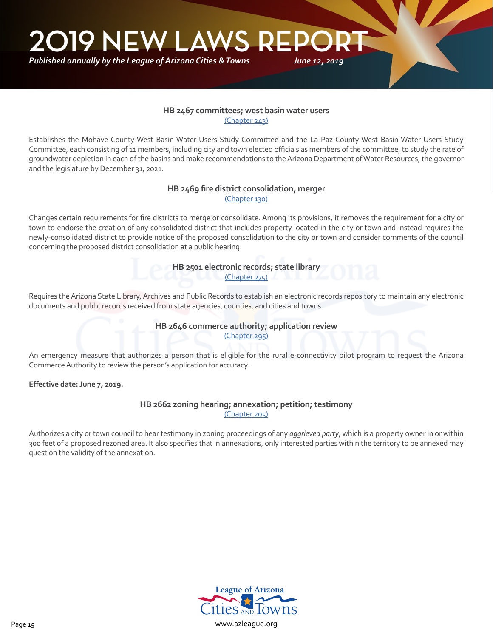*Published annually by the League of Arizona Cities & Towns*

#### **HB 2467 committees; west basin water users** [\(Chapter 243\)](https://apps.azleg.gov/BillStatus/BillOverview/71604)

*June 12, 2019*

Establishes the Mohave County West Basin Water Users Study Committee and the La Paz County West Basin Water Users Study Committee, each consisting of 11 members, including city and town elected officials as members of the committee, to study the rate of groundwater depletion in each of the basins and make recommendations to the Arizona Department of Water Resources, the governor and the legislature by December 31, 2021.

#### **HB 2469 fire district consolidation, merger** [\(Chapter 130\)](https://apps.azleg.gov/BillStatus/BillOverview/71606)

Changes certain requirements for fire districts to merge or consolidate. Among its provisions, it removes the requirement for a city or town to endorse the creation of any consolidated district that includes property located in the city or town and instead requires the newly-consolidated district to provide notice of the proposed consolidation to the city or town and consider comments of the council concerning the proposed district consolidation at a public hearing.

> **HB 2501 electronic records; state library** [\(Chapter 275\)](https://apps.azleg.gov/BillStatus/BillOverview/71650)

Requires the Arizona State Library, Archives and Public Records to establish an electronic records repository to maintain any electronic documents and public records received from state agencies, counties, and cities and towns.

#### **HB 2646 commerce authority; application review** [\(Chapter 295\)](https://apps.azleg.gov/BillStatus/BillOverview/72282)

An emergency measure that authorizes a person that is eligible for the rural e-connectivity pilot program to request the Arizona Commerce Authority to review the person's application for accuracy.

**Effective date: June 7, 2019.**

#### **HB 2662 zoning hearing; annexation; petition; testimony** [\(Chapter 205\)](https://apps.azleg.gov/BillStatus/BillOverview/72303)

Authorizes a city or town council to hear testimony in zoning proceedings of any *aggrieved party*, which is a property owner in or within 300 feet of a proposed rezoned area. It also specifies that in annexations, only interested parties within the territory to be annexed may question the validity of the annexation.

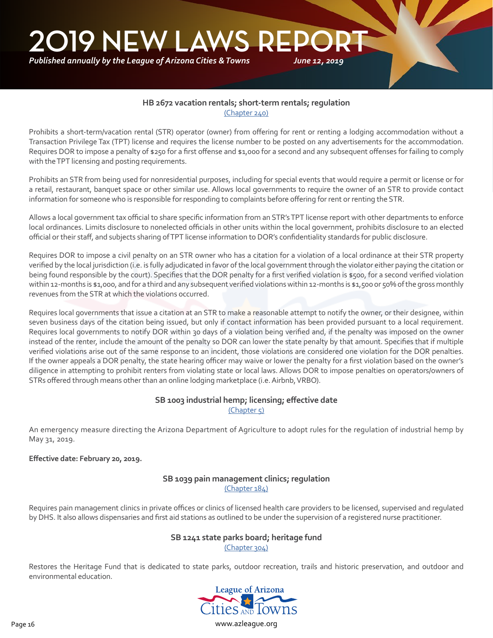#### **HB 2672 vacation rentals; short-term rentals; regulation** [\(Chapter 240\)](https://apps.azleg.gov/BillStatus/BillOverview/72315)

Prohibits a short-term/vacation rental (STR) operator (owner) from offering for rent or renting a lodging accommodation without a Transaction Privilege Tax (TPT) license and requires the license number to be posted on any advertisements for the accommodation. Requires DOR to impose a penalty of \$250 for a first offense and \$1,000 for a second and any subsequent offenses for failing to comply with the TPT licensing and posting requirements.

Prohibits an STR from being used for nonresidential purposes, including for special events that would require a permit or license or for a retail, restaurant, banquet space or other similar use. Allows local governments to require the owner of an STR to provide contact information for someone who is responsible for responding to complaints before offering for rent or renting the STR.

Allows a local government tax official to share specific information from an STR's TPT license report with other departments to enforce local ordinances. Limits disclosure to nonelected officials in other units within the local government, prohibits disclosure to an elected official or their staff, and subjects sharing of TPT license information to DOR's confidentiality standards for public disclosure.

Requires DOR to impose a civil penalty on an STR owner who has a citation for a violation of a local ordinance at their STR property verified by the local jurisdiction (i.e. is fully adjudicated in favor of the local government through the violator either paying the citation or being found responsible by the court). Specifies that the DOR penalty for a first verified violation is \$500, for a second verified violation within 12-months is \$1,000, and for a third and any subsequent verified violations within 12-months is \$1,500 or 50% of the gross monthly revenues from the STR at which the violations occurred.

Requires local governments that issue a citation at an STR to make a reasonable attempt to notify the owner, or their designee, within seven business days of the citation being issued, but only if contact information has been provided pursuant to a local requirement. Requires local governments to notify DOR within 30 days of a violation being verified and, if the penalty was imposed on the owner instead of the renter, include the amount of the penalty so DOR can lower the state penalty by that amount. Specifies that if multiple verified violations arise out of the same response to an incident, those violations are considered one violation for the DOR penalties. If the owner appeals a DOR penalty, the state hearing officer may waive or lower the penalty for a first violation based on the owner's diligence in attempting to prohibit renters from violating state or local laws. Allows DOR to impose penalties on operators/owners of STRs offered through means other than an online lodging marketplace (i.e. Airbnb, VRBO).

#### **SB 1003 industrial hemp; licensing; effective date** [\(Chapter 5\)](https://apps.azleg.gov/billStatus/BillOverview/71008)

An emergency measure directing the Arizona Department of Agriculture to adopt rules for the regulation of industrial hemp by May 31, 2019.

#### **Effective date: February 20, 2019.**

#### **SB 1039 pain management clinics; regulation** [\(Chapter 184\)](https://apps.azleg.gov/BillStatus/BillOverview/71098)

Requires pain management clinics in private offices or clinics of licensed health care providers to be licensed, supervised and regulated by DHS. It also allows dispensaries and first aid stations as outlined to be under the supervision of a registered nurse practitioner.

### **SB 1241 state parks board; heritage fund**

[\(Chapter 304\)](https://apps.azleg.gov/BillStatus/BillOverview/71844)

Restores the Heritage Fund that is dedicated to state parks, outdoor recreation, trails and historic preservation, and outdoor and environmental education.

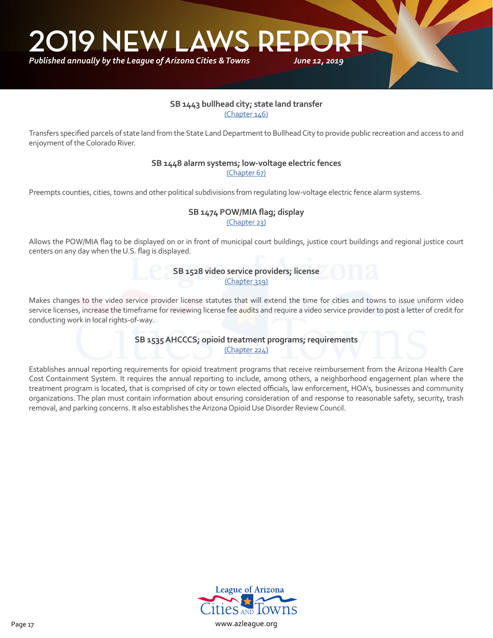*Published annually by the League of Arizona Cities & Towns*

#### **SB 1443 bullhead city; state land transfer** [\(Chapter 146\)](https://apps.azleg.gov/BillStatus/BillOverview/72097)

*June 12, 2019*

Transfers specified parcels of state land from the State Land Department to Bullhead City to provide public recreation and access to and enjoyment of the Colorado River.

#### **SB 1448 alarm systems; low-voltage electric fences** [\(Chapter 67\)](https://apps.azleg.gov/BillStatus/BillOverview/72107)

Preempts counties, cities, towns and other political subdivisions from regulating low-voltage electric fence alarm systems.

## **SB 1474 POW/MIA flag; display**

[\(Chapter 23\)](https://apps.azleg.gov/BillStatus/BillOverview/72153)

Allows the POW/MIA flag to be displayed on or in front of municipal court buildings, justice court buildings and regional justice court centers on any day when the U.S. flag is displayed.

> **SB 1528 video service providers; license** [\(Chapter 319\)](https://apps.azleg.gov/BillStatus/BillOverview/72200)

Makes changes to the video service provider license statutes that will extend the time for cities and towns to issue uniform video service licenses, increase the timeframe for reviewing license fee audits and require a video service provider to post a letter of credit for conducting work in local rights-of-way.

> **SB 1535 AHCCCS; opioid treatment programs; requirements** [\(Chapter 224\)](https://apps.azleg.gov/BillStatus/BillOverview/72208)

Establishes annual reporting requirements for opioid treatment programs that receive reimbursement from the Arizona Health Care Cost Containment System. It requires the annual reporting to include, among others, a neighborhood engagement plan where the treatment program is located, that is comprised of city or town elected officials, law enforcement, HOA's, businesses and community organizations. The plan must contain information about ensuring consideration of and response to reasonable safety, security, trash removal, and parking concerns. It also establishes the Arizona Opioid Use Disorder Review Council.

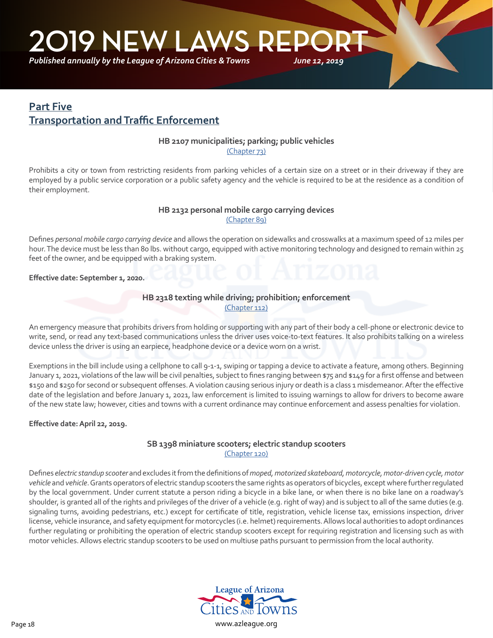<span id="page-17-0"></span>*Published annually by the League of Arizona Cities & Towns*

## **Part Five Transportation and Traffic Enforcement**

#### **HB 2107 municipalities; parking; public vehicles**

[\(Chapter 73\)](https://apps.azleg.gov/BillStatus/BillOverview/71185)

Prohibits a city or town from restricting residents from parking vehicles of a certain size on a street or in their driveway if they are employed by a public service corporation or a public safety agency and the vehicle is required to be at the residence as a condition of their employment.

#### **HB 2132 personal mobile cargo carrying devices** [\(Chapter 89\)](https://apps.azleg.gov/BillStatus/BillOverview/71211)

Defines *personal mobile cargo carrying device* and allows the operation on sidewalks and crosswalks at a maximum speed of 12 miles per hour. The device must be less than 80 lbs. without cargo, equipped with active monitoring technology and designed to remain within 25 feet of the owner, and be equipped with a braking system.

#### **Effective date: September 1, 2020.**

٦

#### **HB 2318 texting while driving; prohibition; enforcement** [\(Chapter 112\)](https://apps.azleg.gov/BillStatus/BillOverview/71430)

An emergency measure that prohibits drivers from holding or supporting with any part of their body a cell-phone or electronic device to write, send, or read any text-based communications unless the driver uses voice-to-text features. It also prohibits talking on a wireless device unless the driver is using an earpiece, headphone device or a device worn on a wrist.

Exemptions in the bill include using a cellphone to call 9-1-1, swiping or tapping a device to activate a feature, among others. Beginning January 1, 2021, violations of the law will be civil penalties, subject to fines ranging between \$75 and \$149 for a first offense and between \$150 and \$250 for second or subsequent offenses. A violation causing serious injury or death is a class 1 misdemeanor. After the effective date of the legislation and before January 1, 2021, law enforcement is limited to issuing warnings to allow for drivers to become aware of the new state law; however, cities and towns with a current ordinance may continue enforcement and assess penalties for violation.

#### **Effective date: April 22, 2019.**

#### **SB 1398 miniature scooters; electric standup scooters** [\(Chapter 120\)](https://apps.azleg.gov/BillStatus/BillOverview/72044)

Defines *electric standup scooter* and excludes it from the definitions of *moped, motorized skateboard, motorcycle, motor-driven cycle, motor vehicle* and *vehicle*. Grants operators of electric standup scooters the same rights as operators of bicycles, except where further regulated by the local government. Under current statute a person riding a bicycle in a bike lane, or when there is no bike lane on a roadway's shoulder, is granted all of the rights and privileges of the driver of a vehicle (e.g. right of way) and is subject to all of the same duties (e.g. signaling turns, avoiding pedestrians, etc.) except for certificate of title, registration, vehicle license tax, emissions inspection, driver license, vehicle insurance, and safety equipment for motorcycles (i.e. helmet) requirements. Allows local authorities to adopt ordinances further regulating or prohibiting the operation of electric standup scooters except for requiring registration and licensing such as with motor vehicles. Allows electric standup scooters to be used on multiuse paths pursuant to permission from the local authority.

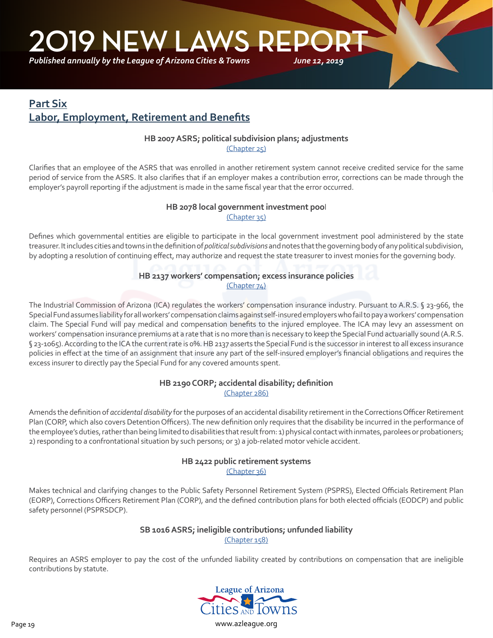<span id="page-18-0"></span>*Published annually by the League of Arizona Cities & Towns*

## **Part Six Labor, Employment, Retirement and Benefits**

#### **HB 2007 ASRS; political subdivision plans; adjustments**

[\(Chapter 25\)](https://apps.azleg.gov/billStatus/BillOverview/71005)

Clarifies that an employee of the ASRS that was enrolled in another retirement system cannot receive credited service for the same period of service from the ASRS. It also clarifies that if an employer makes a contribution error, corrections can be made through the employer's payroll reporting if the adjustment is made in the same fiscal year that the error occurred.

#### **HB 2078 local government investment poo**l [\(Chapter 35\)](https://apps.azleg.gov/BillStatus/BillOverview/71146)

Defines which governmental entities are eligible to participate in the local government investment pool administered by the state treasurer. It includes cities and towns in the definition of *political subdivisions* and notes that the governing body of any political subdivision, by adopting a resolution of continuing effect, may authorize and request the state treasurer to invest monies for the governing body.

#### **HB 2137 workers' compensation; excess insurance policies** [\(Chapter 74\)](https://apps.azleg.gov/BillStatus/BillOverview/71212)

The Industrial Commission of Arizona (ICA) regulates the workers' compensation insurance industry. Pursuant to A.R.S. § 23-966, the Special Fund assumes liability for all workers' compensation claims against self-insured employers who fail to pay a workers' compensation claim. The Special Fund will pay medical and compensation benefits to the injured employee. The ICA may levy an assessment on workers' compensation insurance premiums at a rate that is no more than is necessary to keep the Special Fund actuarially sound (A.R.S. § 23-1065). According to the ICA the current rate is 0%. HB 2137 asserts the Special Fund is the successor in interest to all excess insurance policies in effect at the time of an assignment that insure any part of the self-insured employer's financial obligations and requires the excess insurer to directly pay the Special Fund for any covered amounts spent.

#### **HB 2190 CORP; accidental disability; definition** [\(Chapter 286\)](https://apps.azleg.gov/BillStatus/BillOverview/71296)

Amends the definition of *accidental disability* for the purposes of an accidental disability retirement in the Corrections Officer Retirement Plan (CORP, which also covers Detention Officers). The new definition only requires that the disability be incurred in the performance of the employee's duties, rather than being limited to disabilities that result from: 1) physical contact with inmates, parolees or probationers; 2) responding to a confrontational situation by such persons; or 3) a job-related motor vehicle accident.

## **HB 2422 public retirement systems**

[\(Chapter 36\)](https://apps.azleg.gov/BillStatus/BillOverview/71553)

Makes technical and clarifying changes to the Public Safety Personnel Retirement System (PSPRS), Elected Officials Retirement Plan (EORP), Corrections Officers Retirement Plan (CORP), and the defined contribution plans for both elected officials (EODCP) and public safety personnel (PSPRSDCP).

#### **SB 1016 ASRS; ineligible contributions; unfunded liability**

[\(Chapter 158\)](https://apps.azleg.gov/billStatus/BillOverview/71042)

Requires an ASRS employer to pay the cost of the unfunded liability created by contributions on compensation that are ineligible contributions by statute.